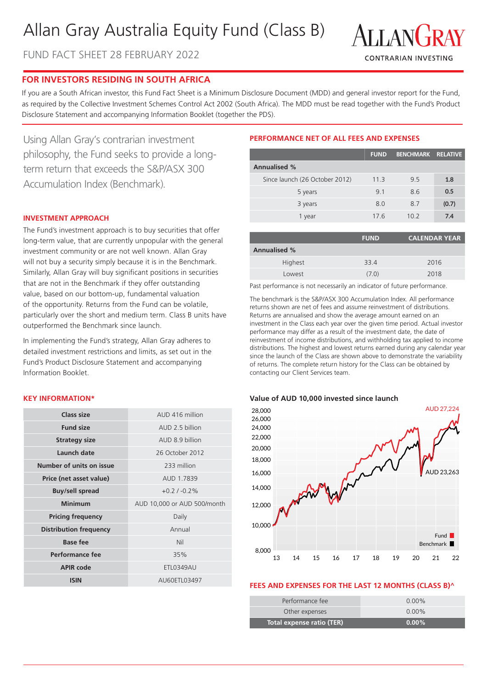# Allan Gray Australia Equity Fund (Class B)

FUND FACT SHEET 28 FEBRUARY 2022



# **FOR INVESTORS RESIDING IN SOUTH AFRICA**

If you are a South African investor, this Fund Fact Sheet is a Minimum Disclosure Document (MDD) and general investor report for the Fund, as required by the Collective Investment Schemes Control Act 2002 (South Africa). The MDD must be read together with the Fund's Product Disclosure Statement and accompanying Information Booklet (together the PDS).

Using Allan Gray's contrarian investment philosophy, the Fund seeks to provide a longterm return that exceeds the S&P/ASX 300 Accumulation Index (Benchmark).

# **INVESTMENT APPROACH**

The Fund's investment approach is to buy securities that offer long-term value, that are currently unpopular with the general investment community or are not well known. Allan Gray will not buy a security simply because it is in the Benchmark. Similarly, Allan Gray will buy significant positions in securities that are not in the Benchmark if they offer outstanding value, based on our bottom-up, fundamental valuation of the opportunity. Returns from the Fund can be volatile, particularly over the short and medium term. Class B units have outperformed the Benchmark since launch.

In implementing the Fund's strategy, Allan Gray adheres to detailed investment restrictions and limits, as set out in the Fund's Product Disclosure Statement and accompanying Information Booklet.

# **KEY INFORMATION\***

| Class size                    | AUD 416 million             |  |  |
|-------------------------------|-----------------------------|--|--|
| <b>Fund size</b>              | AUD 2 5 billion             |  |  |
| <b>Strategy size</b>          | AUD 8.9 billion             |  |  |
| Launch date                   | 26 October 2012             |  |  |
| Number of units on issue      | 233 million                 |  |  |
| Price (net asset value)       | AUD 1.7839                  |  |  |
| <b>Buy/sell spread</b>        | $+0.2/ -0.2\%$              |  |  |
| <b>Minimum</b>                | AUD 10,000 or AUD 500/month |  |  |
| <b>Pricing frequency</b>      | Daily                       |  |  |
| <b>Distribution frequency</b> | Annual                      |  |  |
| <b>Base fee</b>               | Nil                         |  |  |
| Performance fee               | 35%                         |  |  |
| <b>APIR code</b>              | <b>ETL0349AU</b>            |  |  |
| <b>ISIN</b>                   | AU60ETL03497                |  |  |

# **PERFORMANCE NET OF ALL FEES AND EXPENSES**

|                                | <b>FUND</b> | <b>BENCHMARK RELATIVE</b> |       |
|--------------------------------|-------------|---------------------------|-------|
| <b>Annualised %</b>            |             |                           |       |
| Since launch (26 October 2012) | 11.3        | 9.5                       | 1.8   |
| 5 years                        | 9.1         | 8.6                       | 0.5   |
| 3 years                        | 8.0         | 8.7                       | (0.7) |
| 1 year                         | 17.6        | 10.2                      | 7.4   |

| <b>FUND</b> | <b>CALENDAR YEAR</b> |
|-------------|----------------------|
|             |                      |
| 33.4        | 2016                 |
| (7.0)       | 2018                 |
|             |                      |

Past performance is not necessarily an indicator of future performance.

The benchmark is the S&P/ASX 300 Accumulation Index. All performance returns shown are net of fees and assume reinvestment of distributions. Returns are annualised and show the average amount earned on an investment in the Class each year over the given time period. Actual investor performance may differ as a result of the investment date, the date of reinvestment of income distributions, and withholding tax applied to income distributions. The highest and lowest returns earned during any calendar year since the launch of the Class are shown above to demonstrate the variability of returns. The complete return history for the Class can be obtained by contacting our Client Services team.

#### **Value of AUD 10,000 invested since launch**



#### **FEES AND EXPENSES FOR THE LAST 12 MONTHS (CLASS B)^**